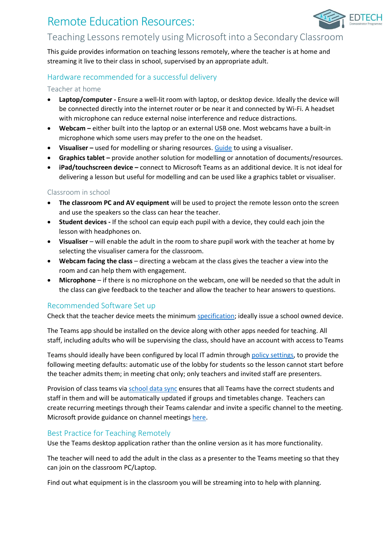# Remote Education Resources:



**EDTECH** 

This guide provides information on teaching lessons remotely, where the teacher is at home and streaming it live to their class in school, supervised by an appropriate adult.

## Hardware recommended for a successful delivery

### Teacher at home

- **Laptop/computer -** Ensure a well-lit room with laptop, or desktop device. Ideally the device will be connected directly into the internet router or be near it and connected by Wi-Fi. A headset with microphone can reduce external noise interference and reduce distractions.
- **Webcam –** either built into the laptop or an external USB one. Most webcams have a built-in microphone which some users may prefer to the one on the headset.
- Visualiser used for modelling or sharing resources. [Guide](https://support.microsoft.com/en-gb/office/share-whiteboards-and-documents-using-your-camera-in-teams-meetings-905b52e3-bcd7-45c5-84cc-03992d7fc84f) to using a visualiser.
- **Graphics tablet –** provide another solution for modelling or annotation of documents/resources.
- **iPad/touchscreen device –** connect to Microsoft Teams as an additional device. It is not ideal for delivering a lesson but useful for modelling and can be used like a graphics tablet or visualiser.

### Classroom in school

- **The classroom PC and AV equipment** will be used to project the remote lesson onto the screen and use the speakers so the class can hear the teacher.
- **Student devices -** If the school can equip each pupil with a device, they could each join the lesson with headphones on.
- **Visualiser** will enable the adult in the room to share pupil work with the teacher at home by selecting the visualiser camera for the classroom.
- **Webcam facing the class** directing a webcam at the class gives the teacher a view into the room and can help them with engagement.
- **Microphone** if there is no microphone on the webcam, one will be needed so that the adult in the class can give feedback to the teacher and allow the teacher to hear answers to questions.

### Recommended Software Set up

Check that the teacher device meets the minimu[m specification;](https://docs.microsoft.com/en-us/microsoftteams/hardware-requirements-for-the-teams-app) ideally issue a school owned device.

The Teams app should be installed on the device along with other apps needed for teaching. All staff, including adults who will be supervising the class, should have an account with access to Teams

Teams should ideally have been configured by local IT admin through [policy settings,](https://docs.microsoft.com/en-us/microsoftteams/policy-packages-edu) to provide the following meeting defaults: automatic use of the lobby for students so the lesson cannot start before the teacher admits them; in meeting chat only; only teachers and invited staff are presenters.

Provision of class teams via [school data sync](https://sds.microsoft.com/) ensures that all Teams have the correct students and staff in them and will be automatically updated if groups and timetables change. Teachers can create recurring meetings through their Teams calendar and invite a specific channel to the meeting. Microsoft provide guidance on channel meetings [here.](https://support.microsoft.com/en-gb/office/schedule-a-meeting-in-teams-943507a9-8583-4c58-b5d2-8ec8265e04e5#bkmk_makeitchannel)

### Best Practice for Teaching Remotely

Use the Teams desktop application rather than the online version as it has more functionality.

The teacher will need to add the adult in the class as a presenter to the Teams meeting so that they can join on the classroom PC/Laptop.

Find out what equipment is in the classroom you will be streaming into to help with planning.